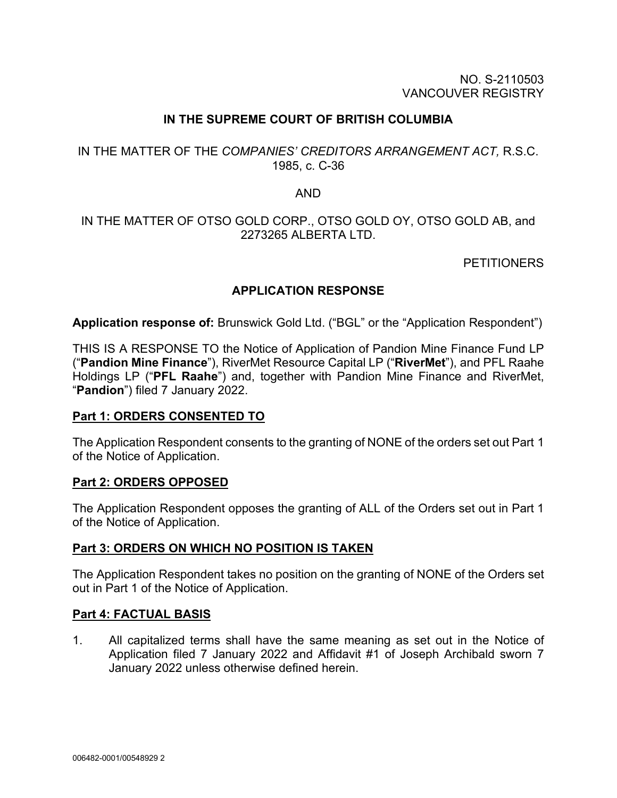### NO. S-2110503 VANCOUVER REGISTRY

## **IN THE SUPREME COURT OF BRITISH COLUMBIA**

## IN THE MATTER OF THE *COMPANIES' CREDITORS ARRANGEMENT ACT,* R.S.C. 1985, c. C-36

### AND

## IN THE MATTER OF OTSO GOLD CORP., OTSO GOLD OY, OTSO GOLD AB, and 2273265 ALBERTA LTD.

### **PETITIONERS**

## **APPLICATION RESPONSE**

**Application response of:** Brunswick Gold Ltd. ("BGL" or the "Application Respondent")

THIS IS A RESPONSE TO the Notice of Application of Pandion Mine Finance Fund LP ("**Pandion Mine Finance**"), RiverMet Resource Capital LP ("**RiverMet**"), and PFL Raahe Holdings LP ("**PFL Raahe**") and, together with Pandion Mine Finance and RiverMet, "**Pandion**") filed 7 January 2022.

### **Part 1: ORDERS CONSENTED TO**

The Application Respondent consents to the granting of NONE of the orders set out Part 1 of the Notice of Application.

### **Part 2: ORDERS OPPOSED**

The Application Respondent opposes the granting of ALL of the Orders set out in Part 1 of the Notice of Application.

### **Part 3: ORDERS ON WHICH NO POSITION IS TAKEN**

The Application Respondent takes no position on the granting of NONE of the Orders set out in Part 1 of the Notice of Application.

### **Part 4: FACTUAL BASIS**

1. All capitalized terms shall have the same meaning as set out in the Notice of Application filed 7 January 2022 and Affidavit #1 of Joseph Archibald sworn 7 January 2022 unless otherwise defined herein.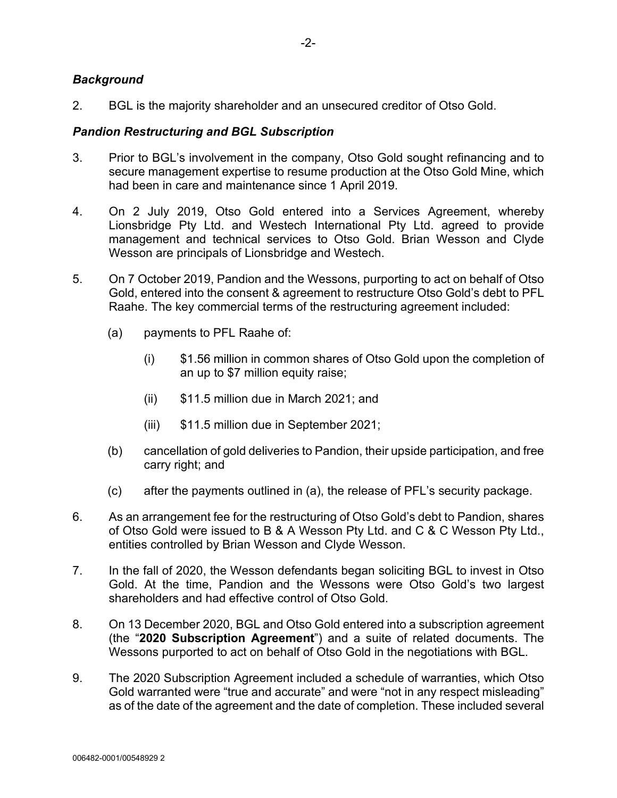## *Background*

2. BGL is the majority shareholder and an unsecured creditor of Otso Gold.

### *Pandion Restructuring and BGL Subscription*

- 3. Prior to BGL's involvement in the company, Otso Gold sought refinancing and to secure management expertise to resume production at the Otso Gold Mine, which had been in care and maintenance since 1 April 2019.
- 4. On 2 July 2019, Otso Gold entered into a Services Agreement, whereby Lionsbridge Pty Ltd. and Westech International Pty Ltd. agreed to provide management and technical services to Otso Gold. Brian Wesson and Clyde Wesson are principals of Lionsbridge and Westech.
- 5. On 7 October 2019, Pandion and the Wessons, purporting to act on behalf of Otso Gold, entered into the consent & agreement to restructure Otso Gold's debt to PFL Raahe. The key commercial terms of the restructuring agreement included:
	- (a) payments to PFL Raahe of:
		- (i) \$1.56 million in common shares of Otso Gold upon the completion of an up to \$7 million equity raise;
		- (ii) \$11.5 million due in March 2021; and
		- (iii) \$11.5 million due in September 2021;
	- (b) cancellation of gold deliveries to Pandion, their upside participation, and free carry right; and
	- (c) after the payments outlined in (a), the release of PFL's security package.
- 6. As an arrangement fee for the restructuring of Otso Gold's debt to Pandion, shares of Otso Gold were issued to B & A Wesson Pty Ltd. and C & C Wesson Pty Ltd., entities controlled by Brian Wesson and Clyde Wesson.
- 7. In the fall of 2020, the Wesson defendants began soliciting BGL to invest in Otso Gold. At the time, Pandion and the Wessons were Otso Gold's two largest shareholders and had effective control of Otso Gold.
- 8. On 13 December 2020, BGL and Otso Gold entered into a subscription agreement (the "**2020 Subscription Agreement**") and a suite of related documents. The Wessons purported to act on behalf of Otso Gold in the negotiations with BGL.
- 9. The 2020 Subscription Agreement included a schedule of warranties, which Otso Gold warranted were "true and accurate" and were "not in any respect misleading" as of the date of the agreement and the date of completion. These included several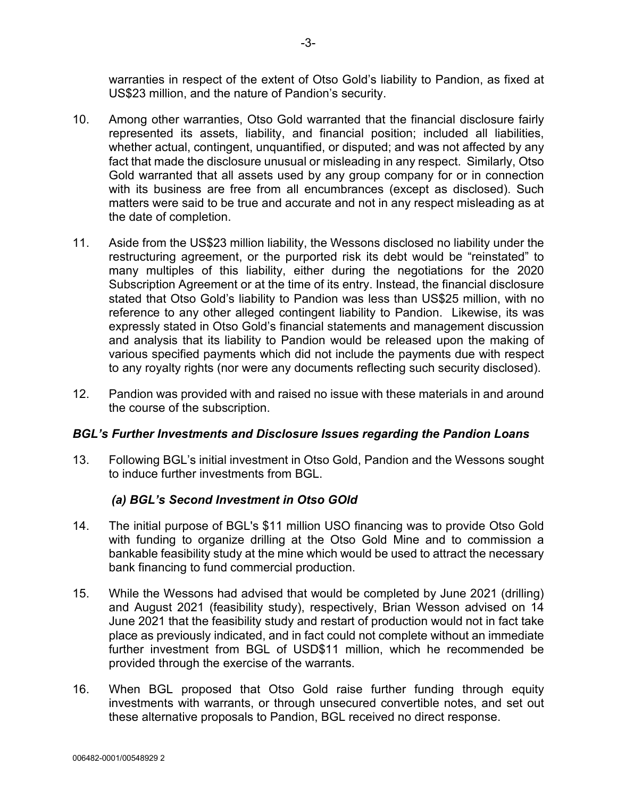warranties in respect of the extent of Otso Gold's liability to Pandion, as fixed at US\$23 million, and the nature of Pandion's security.

- 10. Among other warranties, Otso Gold warranted that the financial disclosure fairly represented its assets, liability, and financial position; included all liabilities, whether actual, contingent, unquantified, or disputed; and was not affected by any fact that made the disclosure unusual or misleading in any respect. Similarly, Otso Gold warranted that all assets used by any group company for or in connection with its business are free from all encumbrances (except as disclosed). Such matters were said to be true and accurate and not in any respect misleading as at the date of completion.
- 11. Aside from the US\$23 million liability, the Wessons disclosed no liability under the restructuring agreement, or the purported risk its debt would be "reinstated" to many multiples of this liability, either during the negotiations for the 2020 Subscription Agreement or at the time of its entry. Instead, the financial disclosure stated that Otso Gold's liability to Pandion was less than US\$25 million, with no reference to any other alleged contingent liability to Pandion. Likewise, its was expressly stated in Otso Gold's financial statements and management discussion and analysis that its liability to Pandion would be released upon the making of various specified payments which did not include the payments due with respect to any royalty rights (nor were any documents reflecting such security disclosed).
- 12. Pandion was provided with and raised no issue with these materials in and around the course of the subscription.

## *BGL's Further Investments and Disclosure Issues regarding the Pandion Loans*

13. Following BGL's initial investment in Otso Gold, Pandion and the Wessons sought to induce further investments from BGL.

## *(a) BGL's Second Investment in Otso GOld*

- 14. The initial purpose of BGL's \$11 million USO financing was to provide Otso Gold with funding to organize drilling at the Otso Gold Mine and to commission a bankable feasibility study at the mine which would be used to attract the necessary bank financing to fund commercial production.
- 15. While the Wessons had advised that would be completed by June 2021 (drilling) and August 2021 (feasibility study), respectively, Brian Wesson advised on 14 June 2021 that the feasibility study and restart of production would not in fact take place as previously indicated, and in fact could not complete without an immediate further investment from BGL of USD\$11 million, which he recommended be provided through the exercise of the warrants.
- 16. When BGL proposed that Otso Gold raise further funding through equity investments with warrants, or through unsecured convertible notes, and set out these alternative proposals to Pandion, BGL received no direct response.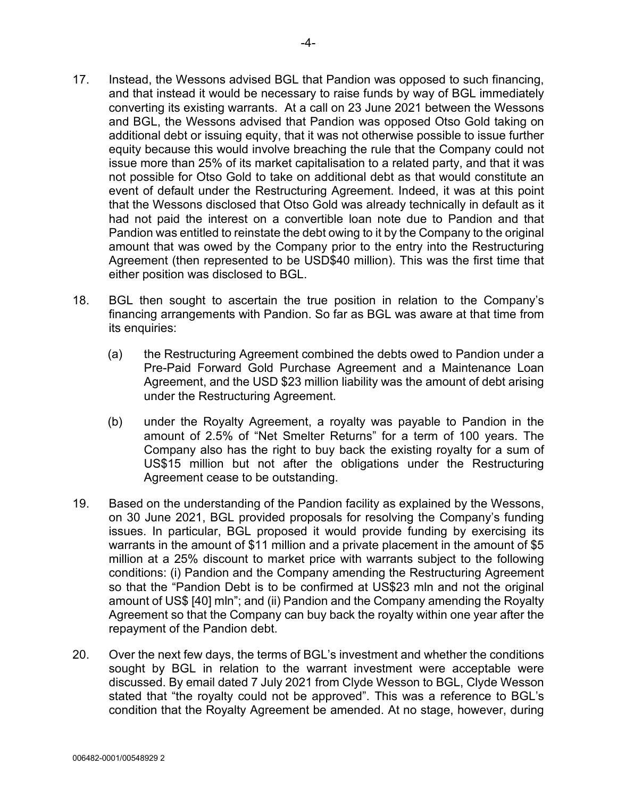- 17. Instead, the Wessons advised BGL that Pandion was opposed to such financing, and that instead it would be necessary to raise funds by way of BGL immediately converting its existing warrants. At a call on 23 June 2021 between the Wessons and BGL, the Wessons advised that Pandion was opposed Otso Gold taking on additional debt or issuing equity, that it was not otherwise possible to issue further equity because this would involve breaching the rule that the Company could not issue more than 25% of its market capitalisation to a related party, and that it was not possible for Otso Gold to take on additional debt as that would constitute an event of default under the Restructuring Agreement. Indeed, it was at this point that the Wessons disclosed that Otso Gold was already technically in default as it had not paid the interest on a convertible loan note due to Pandion and that Pandion was entitled to reinstate the debt owing to it by the Company to the original amount that was owed by the Company prior to the entry into the Restructuring Agreement (then represented to be USD\$40 million). This was the first time that either position was disclosed to BGL.
- 18. BGL then sought to ascertain the true position in relation to the Company's financing arrangements with Pandion. So far as BGL was aware at that time from its enquiries:
	- (a) the Restructuring Agreement combined the debts owed to Pandion under a Pre-Paid Forward Gold Purchase Agreement and a Maintenance Loan Agreement, and the USD \$23 million liability was the amount of debt arising under the Restructuring Agreement.
	- (b) under the Royalty Agreement, a royalty was payable to Pandion in the amount of 2.5% of "Net Smelter Returns" for a term of 100 years. The Company also has the right to buy back the existing royalty for a sum of US\$15 million but not after the obligations under the Restructuring Agreement cease to be outstanding.
- 19. Based on the understanding of the Pandion facility as explained by the Wessons, on 30 June 2021, BGL provided proposals for resolving the Company's funding issues. In particular, BGL proposed it would provide funding by exercising its warrants in the amount of \$11 million and a private placement in the amount of \$5 million at a 25% discount to market price with warrants subject to the following conditions: (i) Pandion and the Company amending the Restructuring Agreement so that the "Pandion Debt is to be confirmed at US\$23 mln and not the original amount of US\$ [40] mln"; and (ii) Pandion and the Company amending the Royalty Agreement so that the Company can buy back the royalty within one year after the repayment of the Pandion debt.
- 20. Over the next few days, the terms of BGL's investment and whether the conditions sought by BGL in relation to the warrant investment were acceptable were discussed. By email dated 7 July 2021 from Clyde Wesson to BGL, Clyde Wesson stated that "the royalty could not be approved". This was a reference to BGL's condition that the Royalty Agreement be amended. At no stage, however, during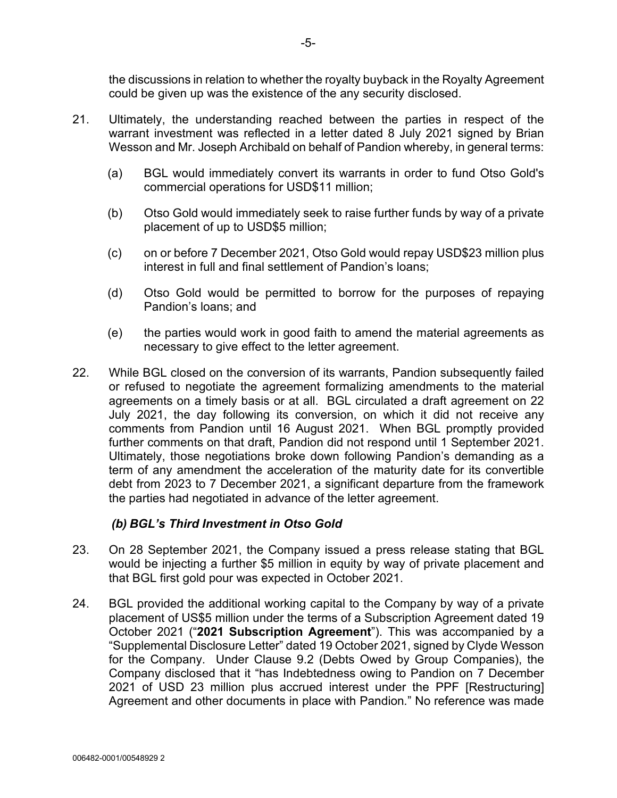the discussions in relation to whether the royalty buyback in the Royalty Agreement could be given up was the existence of the any security disclosed.

- 21. Ultimately, the understanding reached between the parties in respect of the warrant investment was reflected in a letter dated 8 July 2021 signed by Brian Wesson and Mr. Joseph Archibald on behalf of Pandion whereby, in general terms:
	- (a) BGL would immediately convert its warrants in order to fund Otso Gold's commercial operations for USD\$11 million;
	- (b) Otso Gold would immediately seek to raise further funds by way of a private placement of up to USD\$5 million;
	- (c) on or before 7 December 2021, Otso Gold would repay USD\$23 million plus interest in full and final settlement of Pandion's loans;
	- (d) Otso Gold would be permitted to borrow for the purposes of repaying Pandion's loans; and
	- (e) the parties would work in good faith to amend the material agreements as necessary to give effect to the letter agreement.
- 22. While BGL closed on the conversion of its warrants, Pandion subsequently failed or refused to negotiate the agreement formalizing amendments to the material agreements on a timely basis or at all. BGL circulated a draft agreement on 22 July 2021, the day following its conversion, on which it did not receive any comments from Pandion until 16 August 2021. When BGL promptly provided further comments on that draft, Pandion did not respond until 1 September 2021. Ultimately, those negotiations broke down following Pandion's demanding as a term of any amendment the acceleration of the maturity date for its convertible debt from 2023 to 7 December 2021, a significant departure from the framework the parties had negotiated in advance of the letter agreement.

## *(b) BGL's Third Investment in Otso Gold*

- 23. On 28 September 2021, the Company issued a press release stating that BGL would be injecting a further \$5 million in equity by way of private placement and that BGL first gold pour was expected in October 2021.
- 24. BGL provided the additional working capital to the Company by way of a private placement of US\$5 million under the terms of a Subscription Agreement dated 19 October 2021 ("**2021 Subscription Agreement**"). This was accompanied by a "Supplemental Disclosure Letter" dated 19 October 2021, signed by Clyde Wesson for the Company. Under Clause 9.2 (Debts Owed by Group Companies), the Company disclosed that it "has Indebtedness owing to Pandion on 7 December 2021 of USD 23 million plus accrued interest under the PPF [Restructuring] Agreement and other documents in place with Pandion*.*" No reference was made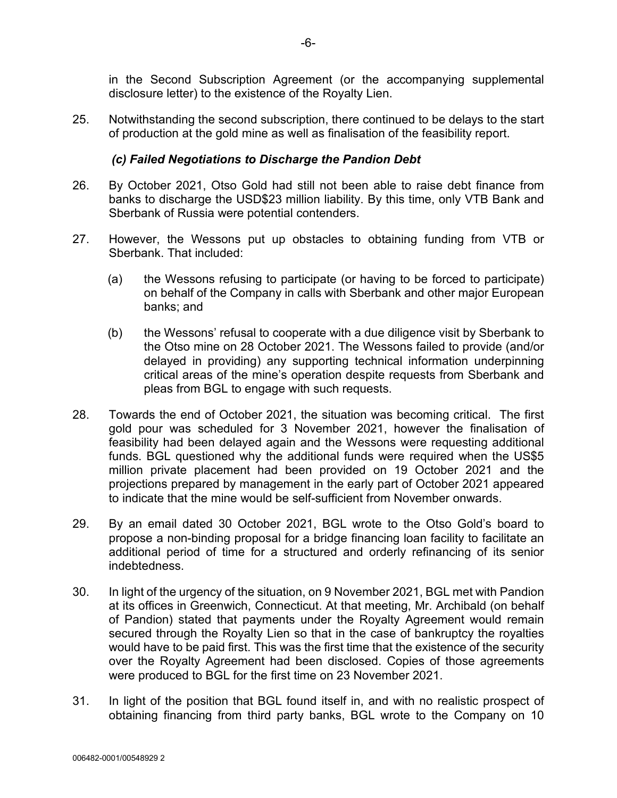in the Second Subscription Agreement (or the accompanying supplemental disclosure letter) to the existence of the Royalty Lien.

25. Notwithstanding the second subscription, there continued to be delays to the start of production at the gold mine as well as finalisation of the feasibility report.

## *(c) Failed Negotiations to Discharge the Pandion Debt*

- 26. By October 2021, Otso Gold had still not been able to raise debt finance from banks to discharge the USD\$23 million liability. By this time, only VTB Bank and Sberbank of Russia were potential contenders.
- 27. However, the Wessons put up obstacles to obtaining funding from VTB or Sberbank. That included:
	- (a) the Wessons refusing to participate (or having to be forced to participate) on behalf of the Company in calls with Sberbank and other major European banks; and
	- (b) the Wessons' refusal to cooperate with a due diligence visit by Sberbank to the Otso mine on 28 October 2021. The Wessons failed to provide (and/or delayed in providing) any supporting technical information underpinning critical areas of the mine's operation despite requests from Sberbank and pleas from BGL to engage with such requests.
- 28. Towards the end of October 2021, the situation was becoming critical. The first gold pour was scheduled for 3 November 2021, however the finalisation of feasibility had been delayed again and the Wessons were requesting additional funds. BGL questioned why the additional funds were required when the US\$5 million private placement had been provided on 19 October 2021 and the projections prepared by management in the early part of October 2021 appeared to indicate that the mine would be self-sufficient from November onwards.
- 29. By an email dated 30 October 2021, BGL wrote to the Otso Gold's board to propose a non-binding proposal for a bridge financing loan facility to facilitate an additional period of time for a structured and orderly refinancing of its senior indebtedness.
- 30. In light of the urgency of the situation, on 9 November 2021, BGL met with Pandion at its offices in Greenwich, Connecticut. At that meeting, Mr. Archibald (on behalf of Pandion) stated that payments under the Royalty Agreement would remain secured through the Royalty Lien so that in the case of bankruptcy the royalties would have to be paid first. This was the first time that the existence of the security over the Royalty Agreement had been disclosed. Copies of those agreements were produced to BGL for the first time on 23 November 2021.
- 31. In light of the position that BGL found itself in, and with no realistic prospect of obtaining financing from third party banks, BGL wrote to the Company on 10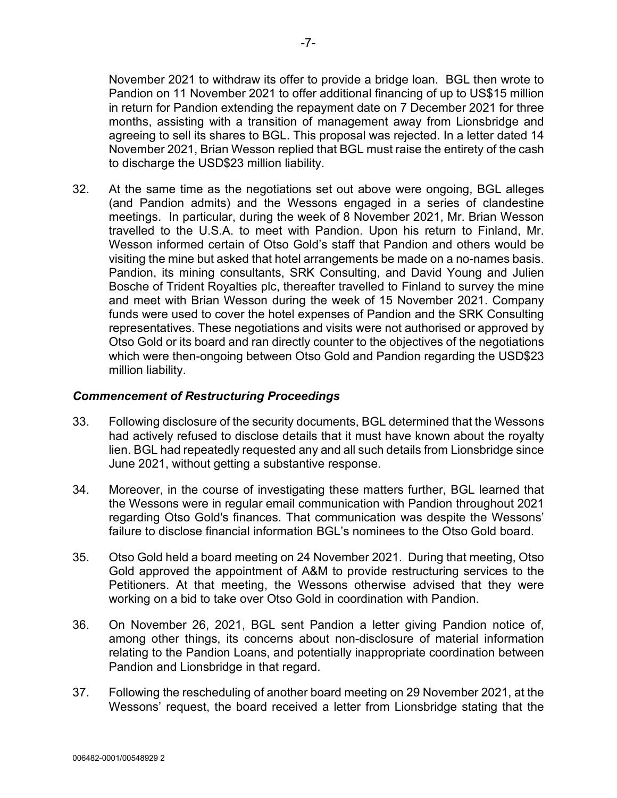November 2021 to withdraw its offer to provide a bridge loan. BGL then wrote to Pandion on 11 November 2021 to offer additional financing of up to US\$15 million in return for Pandion extending the repayment date on 7 December 2021 for three months, assisting with a transition of management away from Lionsbridge and agreeing to sell its shares to BGL. This proposal was rejected. In a letter dated 14 November 2021, Brian Wesson replied that BGL must raise the entirety of the cash to discharge the USD\$23 million liability.

32. At the same time as the negotiations set out above were ongoing, BGL alleges (and Pandion admits) and the Wessons engaged in a series of clandestine meetings. In particular, during the week of 8 November 2021, Mr. Brian Wesson travelled to the U.S.A. to meet with Pandion. Upon his return to Finland, Mr. Wesson informed certain of Otso Gold's staff that Pandion and others would be visiting the mine but asked that hotel arrangements be made on a no-names basis. Pandion, its mining consultants, SRK Consulting, and David Young and Julien Bosche of Trident Royalties plc, thereafter travelled to Finland to survey the mine and meet with Brian Wesson during the week of 15 November 2021. Company funds were used to cover the hotel expenses of Pandion and the SRK Consulting representatives. These negotiations and visits were not authorised or approved by Otso Gold or its board and ran directly counter to the objectives of the negotiations which were then-ongoing between Otso Gold and Pandion regarding the USD\$23 million liability.

### *Commencement of Restructuring Proceedings*

- 33. Following disclosure of the security documents, BGL determined that the Wessons had actively refused to disclose details that it must have known about the royalty lien. BGL had repeatedly requested any and all such details from Lionsbridge since June 2021, without getting a substantive response.
- 34. Moreover, in the course of investigating these matters further, BGL learned that the Wessons were in regular email communication with Pandion throughout 2021 regarding Otso Gold's finances. That communication was despite the Wessons' failure to disclose financial information BGL's nominees to the Otso Gold board.
- 35. Otso Gold held a board meeting on 24 November 2021. During that meeting, Otso Gold approved the appointment of A&M to provide restructuring services to the Petitioners. At that meeting, the Wessons otherwise advised that they were working on a bid to take over Otso Gold in coordination with Pandion.
- 36. On November 26, 2021, BGL sent Pandion a letter giving Pandion notice of, among other things, its concerns about non-disclosure of material information relating to the Pandion Loans, and potentially inappropriate coordination between Pandion and Lionsbridge in that regard.
- 37. Following the rescheduling of another board meeting on 29 November 2021, at the Wessons' request, the board received a letter from Lionsbridge stating that the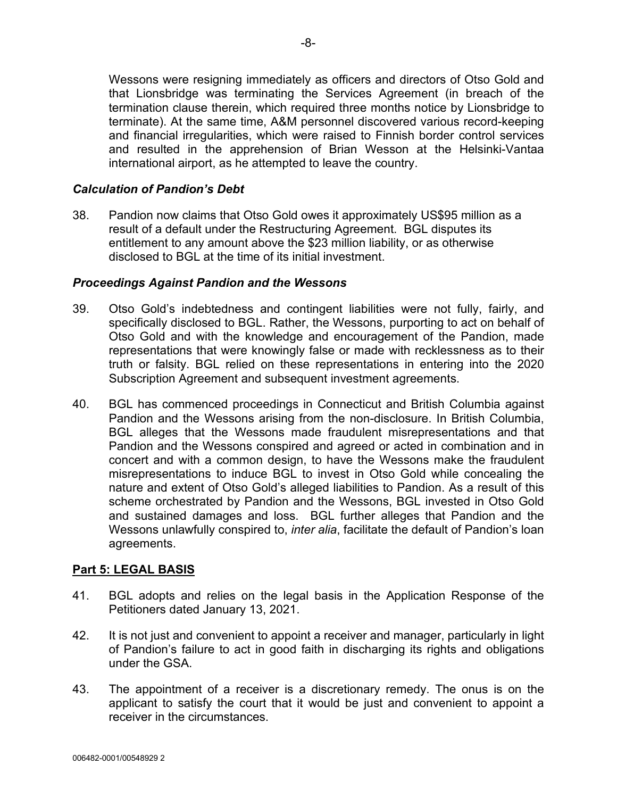Wessons were resigning immediately as officers and directors of Otso Gold and that Lionsbridge was terminating the Services Agreement (in breach of the termination clause therein, which required three months notice by Lionsbridge to terminate). At the same time, A&M personnel discovered various record-keeping and financial irregularities, which were raised to Finnish border control services and resulted in the apprehension of Brian Wesson at the Helsinki-Vantaa international airport, as he attempted to leave the country.

## *Calculation of Pandion's Debt*

38. Pandion now claims that Otso Gold owes it approximately US\$95 million as a result of a default under the Restructuring Agreement. BGL disputes its entitlement to any amount above the \$23 million liability, or as otherwise disclosed to BGL at the time of its initial investment.

### *Proceedings Against Pandion and the Wessons*

- 39. Otso Gold's indebtedness and contingent liabilities were not fully, fairly, and specifically disclosed to BGL. Rather, the Wessons, purporting to act on behalf of Otso Gold and with the knowledge and encouragement of the Pandion, made representations that were knowingly false or made with recklessness as to their truth or falsity. BGL relied on these representations in entering into the 2020 Subscription Agreement and subsequent investment agreements.
- 40. BGL has commenced proceedings in Connecticut and British Columbia against Pandion and the Wessons arising from the non-disclosure. In British Columbia, BGL alleges that the Wessons made fraudulent misrepresentations and that Pandion and the Wessons conspired and agreed or acted in combination and in concert and with a common design, to have the Wessons make the fraudulent misrepresentations to induce BGL to invest in Otso Gold while concealing the nature and extent of Otso Gold's alleged liabilities to Pandion. As a result of this scheme orchestrated by Pandion and the Wessons, BGL invested in Otso Gold and sustained damages and loss. BGL further alleges that Pandion and the Wessons unlawfully conspired to, *inter alia*, facilitate the default of Pandion's loan agreements.

### **Part 5: LEGAL BASIS**

- 41. BGL adopts and relies on the legal basis in the Application Response of the Petitioners dated January 13, 2021.
- 42. It is not just and convenient to appoint a receiver and manager, particularly in light of Pandion's failure to act in good faith in discharging its rights and obligations under the GSA.
- 43. The appointment of a receiver is a discretionary remedy. The onus is on the applicant to satisfy the court that it would be just and convenient to appoint a receiver in the circumstances.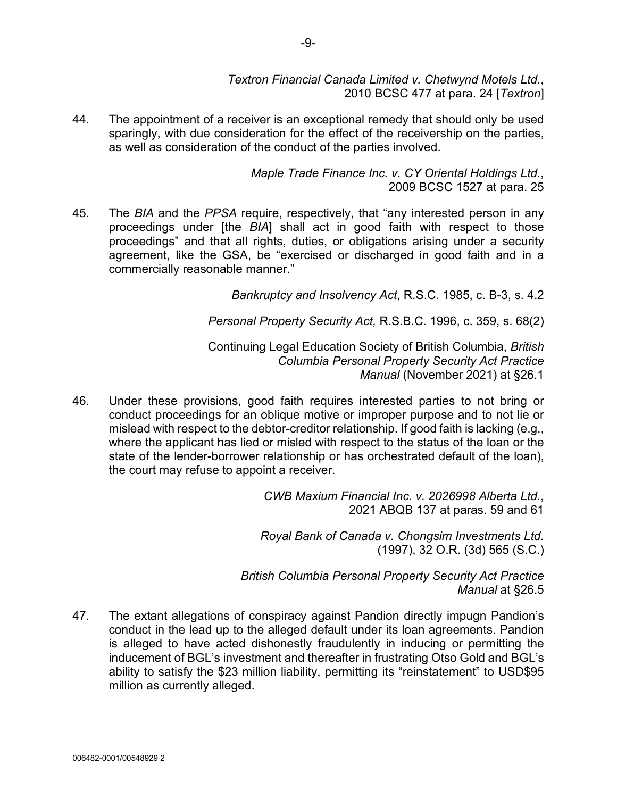*Textron Financial Canada Limited v. Chetwynd Motels Ltd.*, 2010 BCSC 477 at para. 24 [*Textron*]

44. The appointment of a receiver is an exceptional remedy that should only be used sparingly, with due consideration for the effect of the receivership on the parties, as well as consideration of the conduct of the parties involved.

> *Maple Trade Finance Inc. v. CY Oriental Holdings Ltd.*, 2009 BCSC 1527 at para. 25

45. The *BIA* and the *PPSA* require, respectively, that "any interested person in any proceedings under [the *BIA*] shall act in good faith with respect to those proceedings" and that all rights, duties, or obligations arising under a security agreement, like the GSA, be "exercised or discharged in good faith and in a commercially reasonable manner."

*Bankruptcy and Insolvency Act*, R.S.C. 1985, c. B-3, s. 4.2

*Personal Property Security Act,* R.S.B.C. 1996, c. 359, s. 68(2)

Continuing Legal Education Society of British Columbia, *British Columbia Personal Property Security Act Practice Manual* (November 2021) at §26.1

46. Under these provisions, good faith requires interested parties to not bring or conduct proceedings for an oblique motive or improper purpose and to not lie or mislead with respect to the debtor-creditor relationship. If good faith is lacking (e.g., where the applicant has lied or misled with respect to the status of the loan or the state of the lender-borrower relationship or has orchestrated default of the loan), the court may refuse to appoint a receiver.

> *CWB Maxium Financial Inc. v. 2026998 Alberta Ltd.*, 2021 ABQB 137 at paras. 59 and 61

> *Royal Bank of Canada v. Chongsim Investments Ltd.* (1997), 32 O.R. (3d) 565 (S.C.)

*British Columbia Personal Property Security Act Practice Manual* at §26.5

47. The extant allegations of conspiracy against Pandion directly impugn Pandion's conduct in the lead up to the alleged default under its loan agreements. Pandion is alleged to have acted dishonestly fraudulently in inducing or permitting the inducement of BGL's investment and thereafter in frustrating Otso Gold and BGL's ability to satisfy the \$23 million liability, permitting its "reinstatement" to USD\$95 million as currently alleged.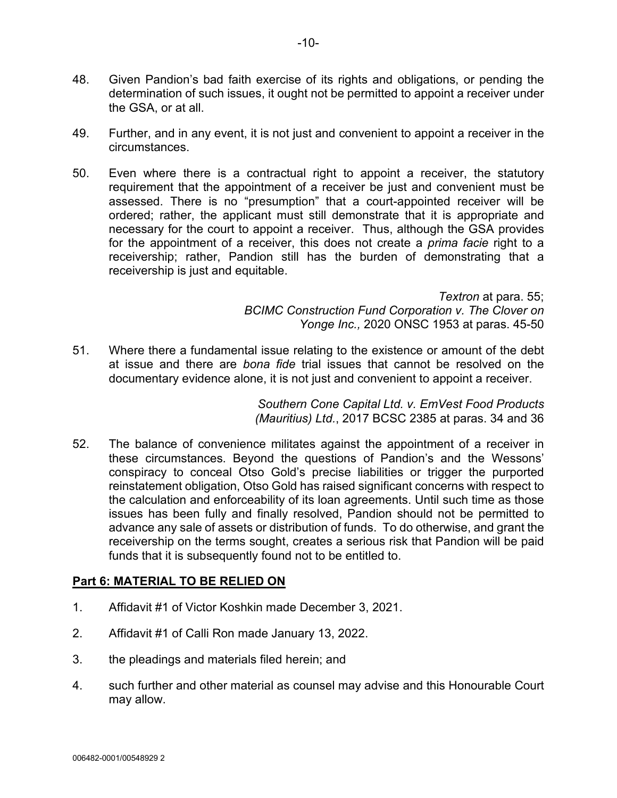- 48. Given Pandion's bad faith exercise of its rights and obligations, or pending the determination of such issues, it ought not be permitted to appoint a receiver under the GSA, or at all.
- 49. Further, and in any event, it is not just and convenient to appoint a receiver in the circumstances.
- 50. Even where there is a contractual right to appoint a receiver, the statutory requirement that the appointment of a receiver be just and convenient must be assessed. There is no "presumption" that a court-appointed receiver will be ordered; rather, the applicant must still demonstrate that it is appropriate and necessary for the court to appoint a receiver. Thus, although the GSA provides for the appointment of a receiver, this does not create a *prima facie* right to a receivership; rather, Pandion still has the burden of demonstrating that a receivership is just and equitable.

*Textron* at para. 55; *BCIMC Construction Fund Corporation v. The Clover on Yonge Inc.,* 2020 ONSC 1953 at paras. 45-50

51. Where there a fundamental issue relating to the existence or amount of the debt at issue and there are *bona fide* trial issues that cannot be resolved on the documentary evidence alone, it is not just and convenient to appoint a receiver.

> *Southern Cone Capital Ltd. v. EmVest Food Products (Mauritius) Ltd.*, 2017 BCSC 2385 at paras. 34 and 36

52. The balance of convenience militates against the appointment of a receiver in these circumstances. Beyond the questions of Pandion's and the Wessons' conspiracy to conceal Otso Gold's precise liabilities or trigger the purported reinstatement obligation, Otso Gold has raised significant concerns with respect to the calculation and enforceability of its loan agreements. Until such time as those issues has been fully and finally resolved, Pandion should not be permitted to advance any sale of assets or distribution of funds. To do otherwise, and grant the receivership on the terms sought, creates a serious risk that Pandion will be paid funds that it is subsequently found not to be entitled to.

# **Part 6: MATERIAL TO BE RELIED ON**

- 1. Affidavit #1 of Victor Koshkin made December 3, 2021.
- 2. Affidavit #1 of Calli Ron made January 13, 2022.
- 3. the pleadings and materials filed herein; and
- 4. such further and other material as counsel may advise and this Honourable Court may allow.